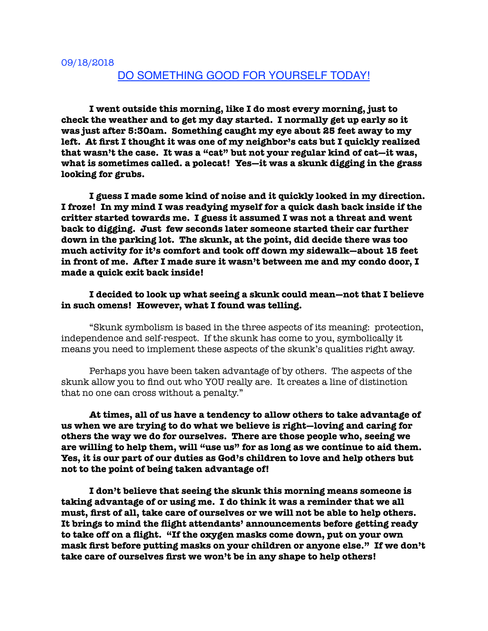## 09/18/2018

## DO SOMETHING GOOD FOR YOURSELF TODAY!

**I went outside this morning, like I do most every morning, just to check the weather and to get my day started. I normally get up early so it was just after 5:30am. Something caught my eye about 25 feet away to my left. At first I thought it was one of my neighbor's cats but I quickly realized that wasn't the case. It was a "cat" but not your regular kind of cat—it was, what is sometimes called. a polecat! Yes—it was a skunk digging in the grass looking for grubs.**

**I guess I made some kind of noise and it quickly looked in my direction. I froze! In my mind I was readying myself for a quick dash back inside if the critter started towards me. I guess it assumed I was not a threat and went back to digging. Just few seconds later someone started their car further down in the parking lot. The skunk, at the point, did decide there was too much activity for it's comfort and took off down my sidewalk—about 15 feet in front of me. After I made sure it wasn't between me and my condo door, I made a quick exit back inside!**

## **I decided to look up what seeing a skunk could mean—not that I believe in such omens! However, what I found was telling.**

"Skunk symbolism is based in the three aspects of its meaning: protection, independence and self-respect. If the skunk has come to you, symbolically it means you need to implement these aspects of the skunk's qualities right away.

Perhaps you have been taken advantage of by others. The aspects of the skunk allow you to find out who YOU really are. It creates a line of distinction that no one can cross without a penalty."

**At times, all of us have a tendency to allow others to take advantage of us when we are trying to do what we believe is right—loving and caring for others the way we do for ourselves. There are those people who, seeing we are willing to help them, will "use us" for as long as we continue to aid them. Yes, it is our part of our duties as God's children to love and help others but not to the point of being taken advantage of!** 

**I don't believe that seeing the skunk this morning means someone is taking advantage of or using me. I do think it was a reminder that we all must, first of all, take care of ourselves or we will not be able to help others. It brings to mind the flight attendants' announcements before getting ready to take off on a flight. "If the oxygen masks come down, put on your own mask first before putting masks on your children or anyone else." If we don't take care of ourselves first we won't be in any shape to help others!**